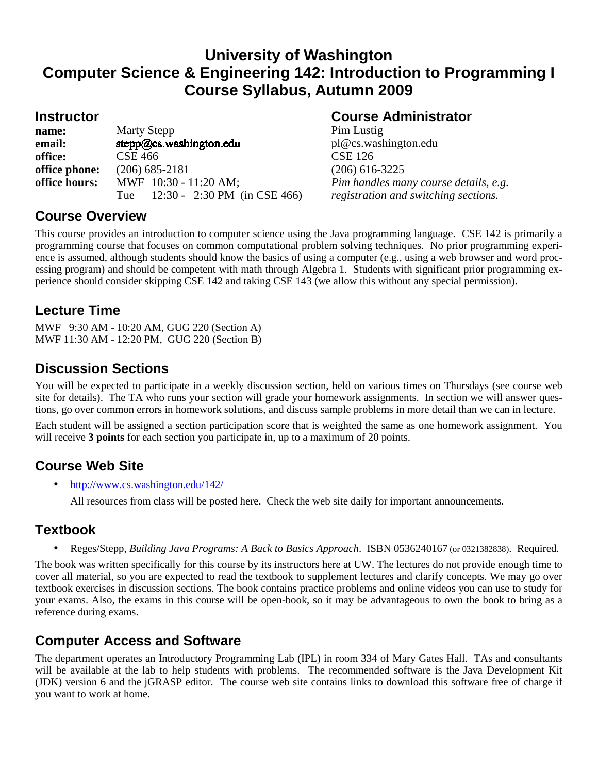# **University of Washington Computer Science & Engineering 142: Introduction to Programming I Course Syllabus, Autumn 2009**

| name:         | <b>Marty Stepp</b>                         |  |  |
|---------------|--------------------------------------------|--|--|
| email:        | $step_0@cs.washington.edu$                 |  |  |
| office:       | <b>CSE 466</b>                             |  |  |
| office phone: | $(206)$ 685-2181                           |  |  |
| office hours: | MWF 10:30 - 11:20 AM;                      |  |  |
|               | Tue $12:30 - 2:30 \text{ PM}$ (in CSE 466) |  |  |

## **Instructor Course Administrator Course Administrator**

**Pim Lustig email:** pl@cs.washington.edu **CSE 126 office phone:** (206) 685-2181 (206) 616-3225 *Pim handles many course details, e.g. registration and switching sections.* 

## **Course Overview**

This course provides an introduction to computer science using the Java programming language. CSE 142 is primarily a programming course that focuses on common computational problem solving techniques. No prior programming experience is assumed, although students should know the basics of using a computer (e.g., using a web browser and word processing program) and should be competent with math through Algebra 1. Students with significant prior programming experience should consider skipping CSE 142 and taking CSE 143 (we allow this without any special permission).

# **Lecture Time**

MWF 9:30 AM - 10:20 AM, GUG 220 (Section A) MWF 11:30 AM - 12:20 PM, GUG 220 (Section B)

# **Discussion Sections**

You will be expected to participate in a weekly discussion section, held on various times on Thursdays (see course web site for details). The TA who runs your section will grade your homework assignments. In section we will answer questions, go over common errors in homework solutions, and discuss sample problems in more detail than we can in lecture.

Each student will be assigned a section participation score that is weighted the same as one homework assignment. You will receive **3 points** for each section you participate in, up to a maximum of 20 points.

# **Course Web Site**

• http://www.cs.washington.edu/142/

All resources from class will be posted here. Check the web site daily for important announcements.

# **Textbook**

• Reges/Stepp, *Building Java Programs: A Back to Basics Approach*. ISBN 0536240167 (or 0321382838). Required.

The book was written specifically for this course by its instructors here at UW. The lectures do not provide enough time to cover all material, so you are expected to read the textbook to supplement lectures and clarify concepts. We may go over textbook exercises in discussion sections. The book contains practice problems and online videos you can use to study for your exams. Also, the exams in this course will be open-book, so it may be advantageous to own the book to bring as a reference during exams.

# **Computer Access and Software**

The department operates an Introductory Programming Lab (IPL) in room 334 of Mary Gates Hall. TAs and consultants will be available at the lab to help students with problems. The recommended software is the Java Development Kit (JDK) version 6 and the jGRASP editor. The course web site contains links to download this software free of charge if you want to work at home.